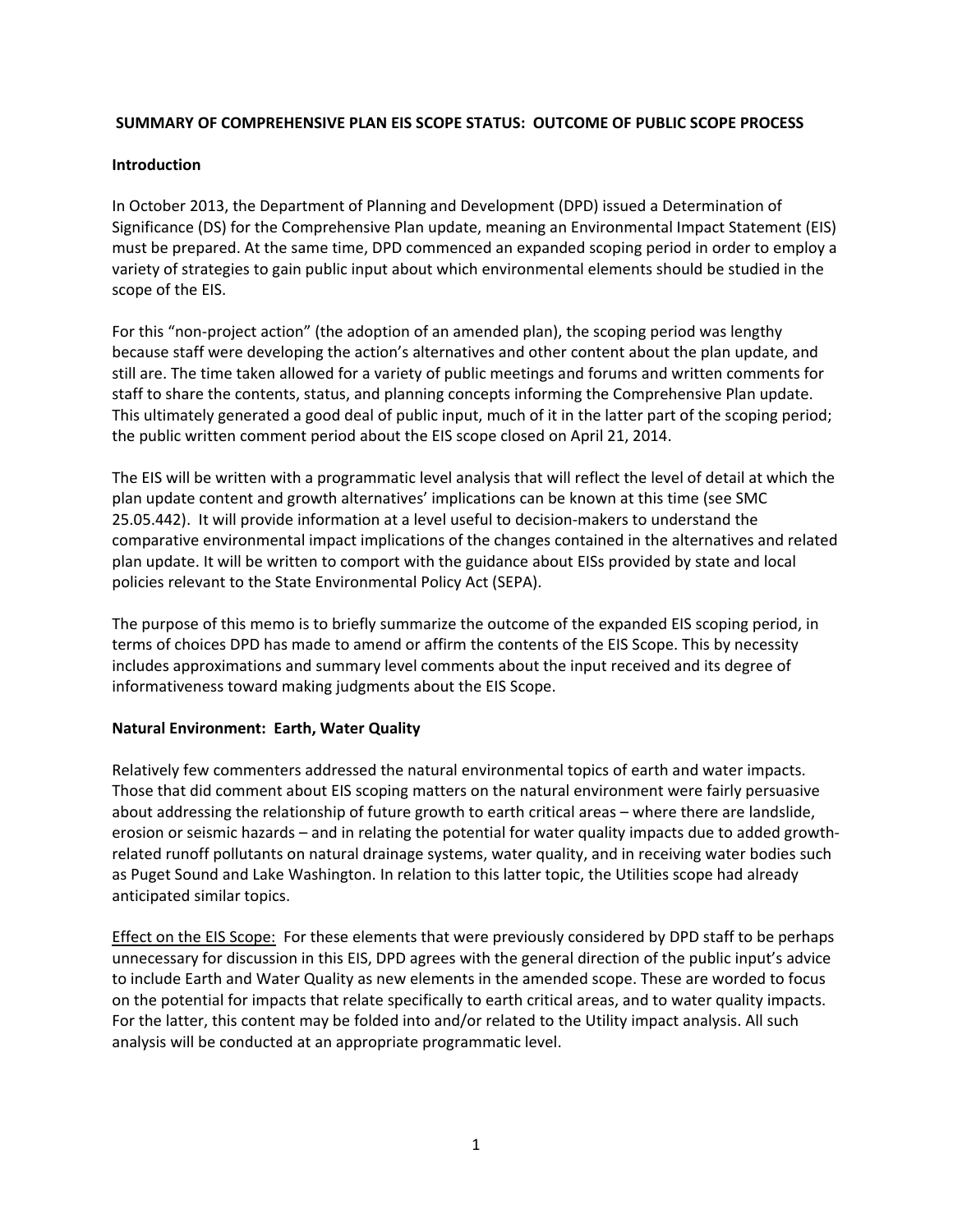### **SUMMARY OF COMPREHENSIVE PLAN EIS SCOPE STATUS: OUTCOME OF PUBLIC SCOPE PROCESS**

### **Introduction**

In October 2013, the Department of Planning and Development (DPD) issued a Determination of Significance (DS) for the Comprehensive Plan update, meaning an Environmental Impact Statement (EIS) must be prepared. At the same time, DPD commenced an expanded scoping period in order to employ a variety of strategies to gain public input about which environmental elements should be studied in the scope of the EIS.

For this "non‐project action" (the adoption of an amended plan), the scoping period was lengthy because staff were developing the action's alternatives and other content about the plan update, and still are. The time taken allowed for a variety of public meetings and forums and written comments for staff to share the contents, status, and planning concepts informing the Comprehensive Plan update. This ultimately generated a good deal of public input, much of it in the latter part of the scoping period; the public written comment period about the EIS scope closed on April 21, 2014.

The EIS will be written with a programmatic level analysis that will reflect the level of detail at which the plan update content and growth alternatives' implications can be known at this time (see SMC 25.05.442). It will provide information at a level useful to decision‐makers to understand the comparative environmental impact implications of the changes contained in the alternatives and related plan update. It will be written to comport with the guidance about EISs provided by state and local policies relevant to the State Environmental Policy Act (SEPA).

The purpose of this memo is to briefly summarize the outcome of the expanded EIS scoping period, in terms of choices DPD has made to amend or affirm the contents of the EIS Scope. This by necessity includes approximations and summary level comments about the input received and its degree of informativeness toward making judgments about the EIS Scope.

# **Natural Environment: Earth, Water Quality**

Relatively few commenters addressed the natural environmental topics of earth and water impacts. Those that did comment about EIS scoping matters on the natural environment were fairly persuasive about addressing the relationship of future growth to earth critical areas – where there are landslide, erosion or seismic hazards – and in relating the potential for water quality impacts due to added growth‐ related runoff pollutants on natural drainage systems, water quality, and in receiving water bodies such as Puget Sound and Lake Washington. In relation to this latter topic, the Utilities scope had already anticipated similar topics.

Effect on the EIS Scope: For these elements that were previously considered by DPD staff to be perhaps unnecessary for discussion in this EIS, DPD agrees with the general direction of the public input's advice to include Earth and Water Quality as new elements in the amended scope. These are worded to focus on the potential for impacts that relate specifically to earth critical areas, and to water quality impacts. For the latter, this content may be folded into and/or related to the Utility impact analysis. All such analysis will be conducted at an appropriate programmatic level.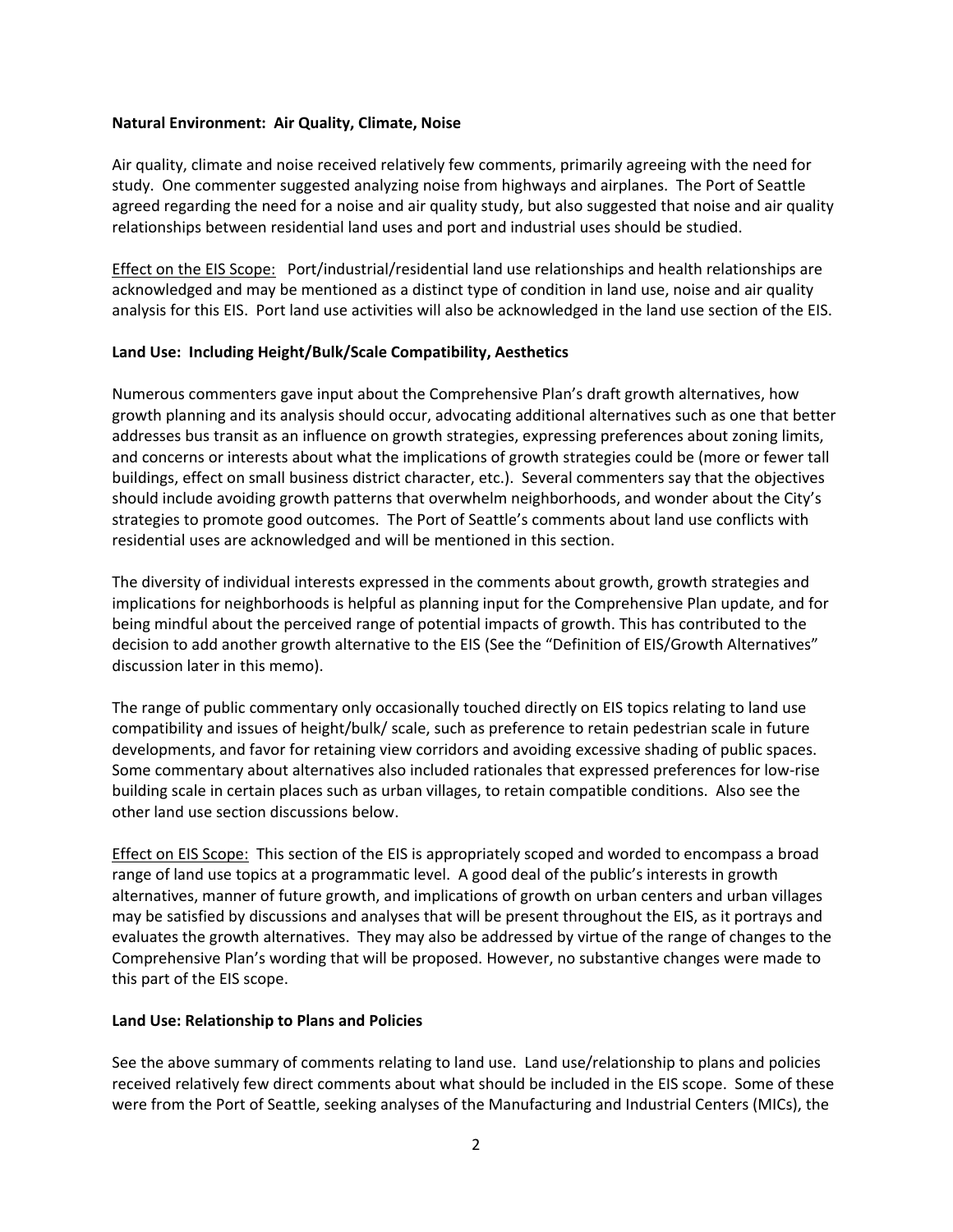#### **Natural Environment: Air Quality, Climate, Noise**

Air quality, climate and noise received relatively few comments, primarily agreeing with the need for study. One commenter suggested analyzing noise from highways and airplanes. The Port of Seattle agreed regarding the need for a noise and air quality study, but also suggested that noise and air quality relationships between residential land uses and port and industrial uses should be studied.

Effect on the EIS Scope: Port/industrial/residential land use relationships and health relationships are acknowledged and may be mentioned as a distinct type of condition in land use, noise and air quality analysis for this EIS. Port land use activities will also be acknowledged in the land use section of the EIS.

### **Land Use: Including Height/Bulk/Scale Compatibility, Aesthetics**

Numerous commenters gave input about the Comprehensive Plan's draft growth alternatives, how growth planning and its analysis should occur, advocating additional alternatives such as one that better addresses bus transit as an influence on growth strategies, expressing preferences about zoning limits, and concerns or interests about what the implications of growth strategies could be (more or fewer tall buildings, effect on small business district character, etc.). Several commenters say that the objectives should include avoiding growth patterns that overwhelm neighborhoods, and wonder about the City's strategies to promote good outcomes. The Port of Seattle's comments about land use conflicts with residential uses are acknowledged and will be mentioned in this section.

The diversity of individual interests expressed in the comments about growth, growth strategies and implications for neighborhoods is helpful as planning input for the Comprehensive Plan update, and for being mindful about the perceived range of potential impacts of growth. This has contributed to the decision to add another growth alternative to the EIS (See the "Definition of EIS/Growth Alternatives" discussion later in this memo).

The range of public commentary only occasionally touched directly on EIS topics relating to land use compatibility and issues of height/bulk/ scale, such as preference to retain pedestrian scale in future developments, and favor for retaining view corridors and avoiding excessive shading of public spaces. Some commentary about alternatives also included rationales that expressed preferences for low‐rise building scale in certain places such as urban villages, to retain compatible conditions. Also see the other land use section discussions below.

Effect on EIS Scope: This section of the EIS is appropriately scoped and worded to encompass a broad range of land use topics at a programmatic level. A good deal of the public's interests in growth alternatives, manner of future growth, and implications of growth on urban centers and urban villages may be satisfied by discussions and analyses that will be present throughout the EIS, as it portrays and evaluates the growth alternatives. They may also be addressed by virtue of the range of changes to the Comprehensive Plan's wording that will be proposed. However, no substantive changes were made to this part of the EIS scope.

#### **Land Use: Relationship to Plans and Policies**

See the above summary of comments relating to land use. Land use/relationship to plans and policies received relatively few direct comments about what should be included in the EIS scope. Some of these were from the Port of Seattle, seeking analyses of the Manufacturing and Industrial Centers (MICs), the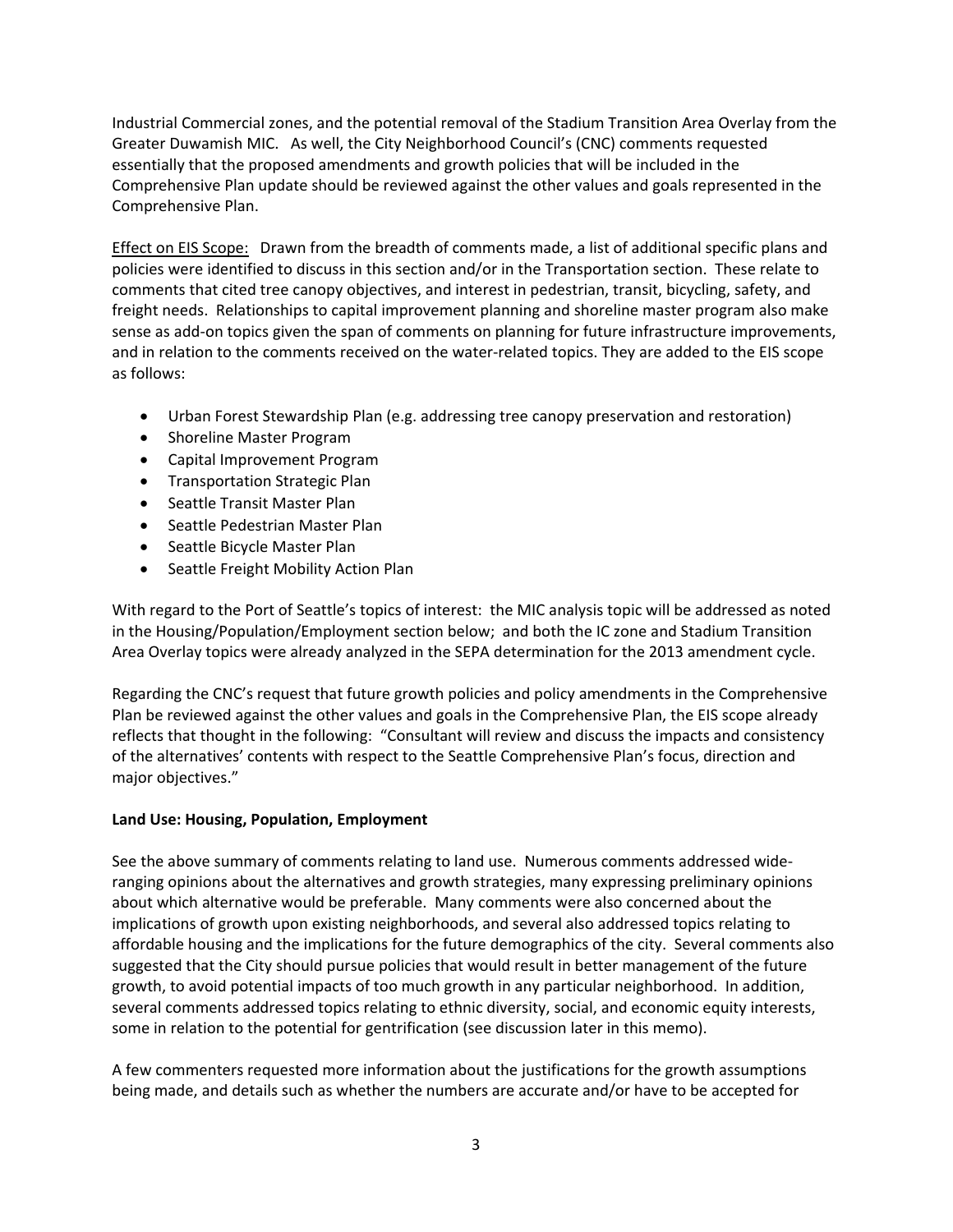Industrial Commercial zones, and the potential removal of the Stadium Transition Area Overlay from the Greater Duwamish MIC. As well, the City Neighborhood Council's (CNC) comments requested essentially that the proposed amendments and growth policies that will be included in the Comprehensive Plan update should be reviewed against the other values and goals represented in the Comprehensive Plan.

Effect on EIS Scope: Drawn from the breadth of comments made, a list of additional specific plans and policies were identified to discuss in this section and/or in the Transportation section. These relate to comments that cited tree canopy objectives, and interest in pedestrian, transit, bicycling, safety, and freight needs. Relationships to capital improvement planning and shoreline master program also make sense as add-on topics given the span of comments on planning for future infrastructure improvements, and in relation to the comments received on the water-related topics. They are added to the EIS scope as follows:

- Urban Forest Stewardship Plan (e.g. addressing tree canopy preservation and restoration)
- Shoreline Master Program
- Capital Improvement Program
- **•** Transportation Strategic Plan
- Seattle Transit Master Plan
- Seattle Pedestrian Master Plan
- Seattle Bicycle Master Plan
- Seattle Freight Mobility Action Plan

With regard to the Port of Seattle's topics of interest: the MIC analysis topic will be addressed as noted in the Housing/Population/Employment section below; and both the IC zone and Stadium Transition Area Overlay topics were already analyzed in the SEPA determination for the 2013 amendment cycle.

Regarding the CNC's request that future growth policies and policy amendments in the Comprehensive Plan be reviewed against the other values and goals in the Comprehensive Plan, the EIS scope already reflects that thought in the following: "Consultant will review and discuss the impacts and consistency of the alternatives' contents with respect to the Seattle Comprehensive Plan's focus, direction and major objectives."

### **Land Use: Housing, Population, Employment**

See the above summary of comments relating to land use. Numerous comments addressed wide‐ ranging opinions about the alternatives and growth strategies, many expressing preliminary opinions about which alternative would be preferable. Many comments were also concerned about the implications of growth upon existing neighborhoods, and several also addressed topics relating to affordable housing and the implications for the future demographics of the city. Several comments also suggested that the City should pursue policies that would result in better management of the future growth, to avoid potential impacts of too much growth in any particular neighborhood. In addition, several comments addressed topics relating to ethnic diversity, social, and economic equity interests, some in relation to the potential for gentrification (see discussion later in this memo).

A few commenters requested more information about the justifications for the growth assumptions being made, and details such as whether the numbers are accurate and/or have to be accepted for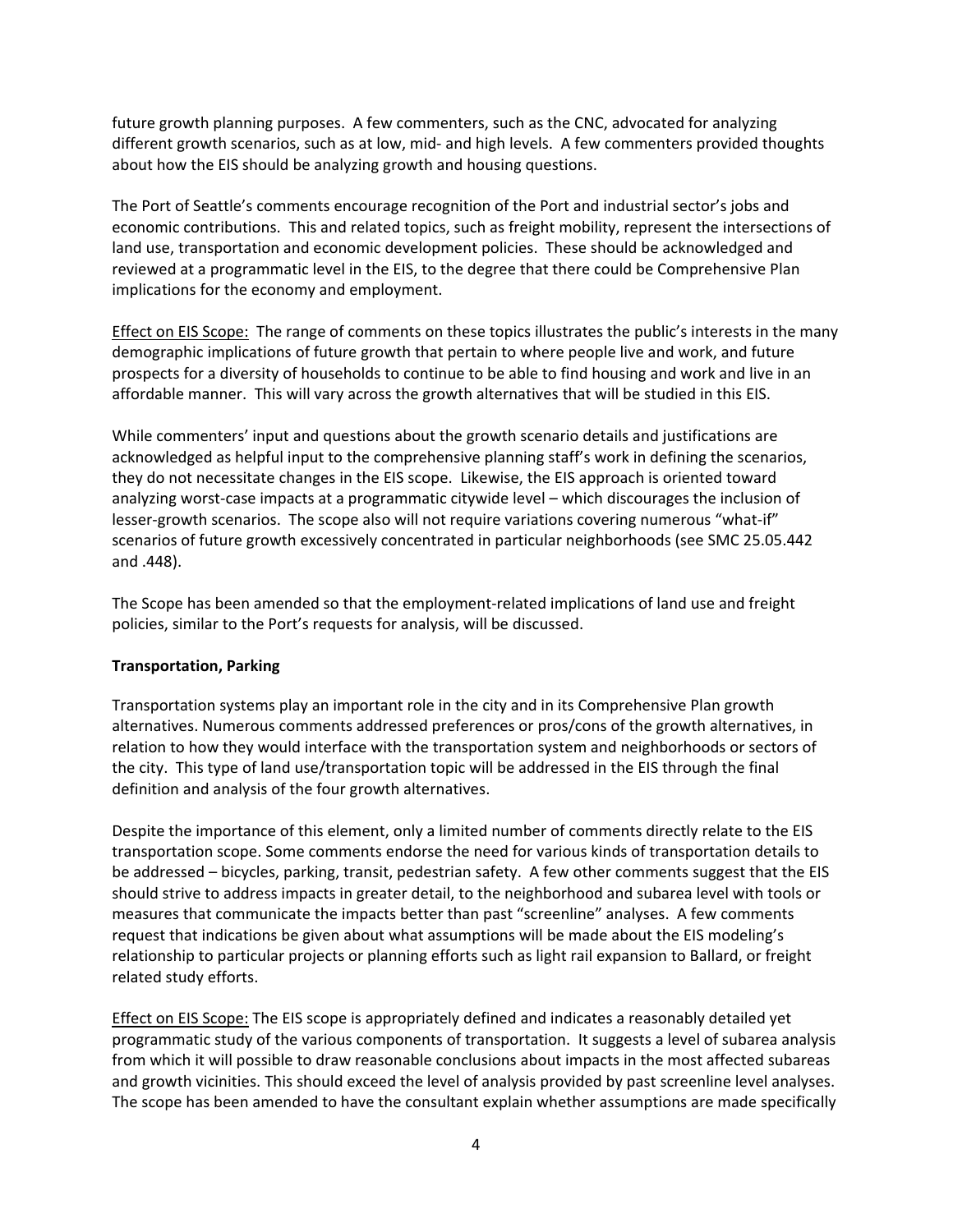future growth planning purposes. A few commenters, such as the CNC, advocated for analyzing different growth scenarios, such as at low, mid- and high levels. A few commenters provided thoughts about how the EIS should be analyzing growth and housing questions.

The Port of Seattle's comments encourage recognition of the Port and industrial sector's jobs and economic contributions. This and related topics, such as freight mobility, represent the intersections of land use, transportation and economic development policies. These should be acknowledged and reviewed at a programmatic level in the EIS, to the degree that there could be Comprehensive Plan implications for the economy and employment.

Effect on EIS Scope: The range of comments on these topics illustrates the public's interests in the many demographic implications of future growth that pertain to where people live and work, and future prospects for a diversity of households to continue to be able to find housing and work and live in an affordable manner. This will vary across the growth alternatives that will be studied in this EIS.

While commenters' input and questions about the growth scenario details and justifications are acknowledged as helpful input to the comprehensive planning staff's work in defining the scenarios, they do not necessitate changes in the EIS scope. Likewise, the EIS approach is oriented toward analyzing worst-case impacts at a programmatic citywide level – which discourages the inclusion of lesser-growth scenarios. The scope also will not require variations covering numerous "what-if" scenarios of future growth excessively concentrated in particular neighborhoods (see SMC 25.05.442 and .448).

The Scope has been amended so that the employment‐related implications of land use and freight policies, similar to the Port's requests for analysis, will be discussed.

### **Transportation, Parking**

Transportation systems play an important role in the city and in its Comprehensive Plan growth alternatives. Numerous comments addressed preferences or pros/cons of the growth alternatives, in relation to how they would interface with the transportation system and neighborhoods or sectors of the city. This type of land use/transportation topic will be addressed in the EIS through the final definition and analysis of the four growth alternatives.

Despite the importance of this element, only a limited number of comments directly relate to the EIS transportation scope. Some comments endorse the need for various kinds of transportation details to be addressed – bicycles, parking, transit, pedestrian safety. A few other comments suggest that the EIS should strive to address impacts in greater detail, to the neighborhood and subarea level with tools or measures that communicate the impacts better than past "screenline" analyses. A few comments request that indications be given about what assumptions will be made about the EIS modeling's relationship to particular projects or planning efforts such as light rail expansion to Ballard, or freight related study efforts.

Effect on EIS Scope: The EIS scope is appropriately defined and indicates a reasonably detailed yet programmatic study of the various components of transportation. It suggests a level of subarea analysis from which it will possible to draw reasonable conclusions about impacts in the most affected subareas and growth vicinities. This should exceed the level of analysis provided by past screenline level analyses. The scope has been amended to have the consultant explain whether assumptions are made specifically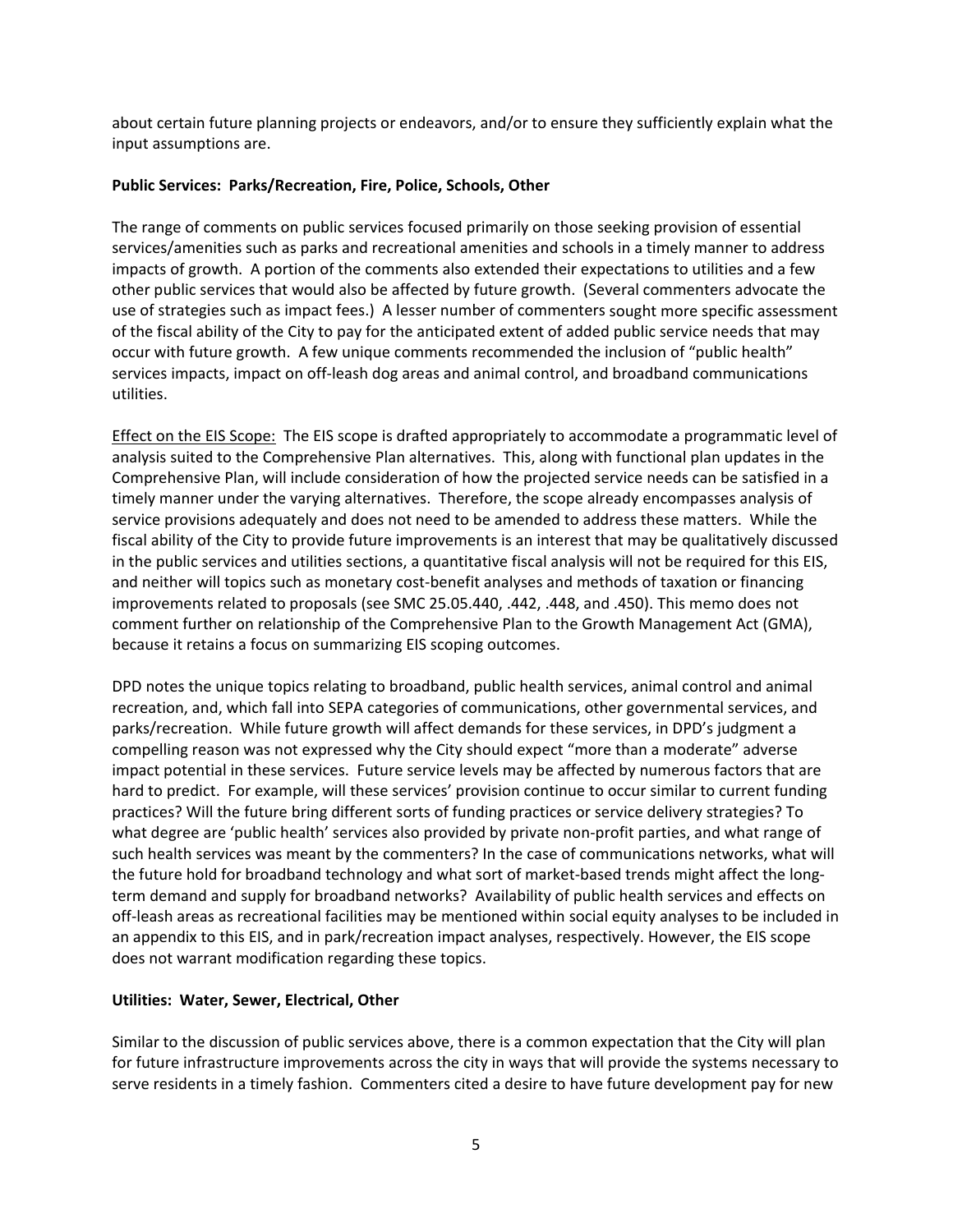about certain future planning projects or endeavors, and/or to ensure they sufficiently explain what the input assumptions are.

### **Public Services: Parks/Recreation, Fire, Police, Schools, Other**

The range of comments on public services focused primarily on those seeking provision of essential services/amenities such as parks and recreational amenities and schools in a timely manner to address impacts of growth. A portion of the comments also extended their expectations to utilities and a few other public services that would also be affected by future growth. (Several commenters advocate the use of strategies such as impact fees.) A lesser number of commenters sought more specific assessment of the fiscal ability of the City to pay for the anticipated extent of added public service needs that may occur with future growth. A few unique comments recommended the inclusion of "public health" services impacts, impact on off‐leash dog areas and animal control, and broadband communications utilities.

Effect on the EIS Scope: The EIS scope is drafted appropriately to accommodate a programmatic level of analysis suited to the Comprehensive Plan alternatives. This, along with functional plan updates in the Comprehensive Plan, will include consideration of how the projected service needs can be satisfied in a timely manner under the varying alternatives. Therefore, the scope already encompasses analysis of service provisions adequately and does not need to be amended to address these matters. While the fiscal ability of the City to provide future improvements is an interest that may be qualitatively discussed in the public services and utilities sections, a quantitative fiscal analysis will not be required for this EIS, and neither will topics such as monetary cost-benefit analyses and methods of taxation or financing improvements related to proposals (see SMC 25.05.440, .442, .448, and .450). This memo does not comment further on relationship of the Comprehensive Plan to the Growth Management Act (GMA), because it retains a focus on summarizing EIS scoping outcomes.

DPD notes the unique topics relating to broadband, public health services, animal control and animal recreation, and, which fall into SEPA categories of communications, other governmental services, and parks/recreation. While future growth will affect demands for these services, in DPD's judgment a compelling reason was not expressed why the City should expect "more than a moderate" adverse impact potential in these services. Future service levels may be affected by numerous factors that are hard to predict. For example, will these services' provision continue to occur similar to current funding practices? Will the future bring different sorts of funding practices or service delivery strategies? To what degree are 'public health' services also provided by private non‐profit parties, and what range of such health services was meant by the commenters? In the case of communications networks, what will the future hold for broadband technology and what sort of market‐based trends might affect the long‐ term demand and supply for broadband networks? Availability of public health services and effects on off‐leash areas as recreational facilities may be mentioned within social equity analyses to be included in an appendix to this EIS, and in park/recreation impact analyses, respectively. However, the EIS scope does not warrant modification regarding these topics.

### **Utilities: Water, Sewer, Electrical, Other**

Similar to the discussion of public services above, there is a common expectation that the City will plan for future infrastructure improvements across the city in ways that will provide the systems necessary to serve residents in a timely fashion. Commenters cited a desire to have future development pay for new